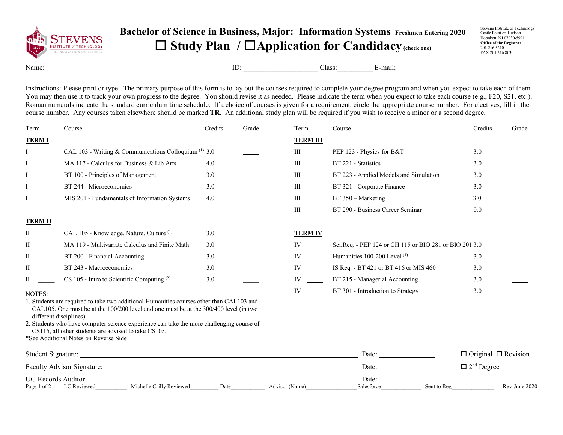

## **Bachelor of Science in Business, Major: Information Systems Freshmen Entering 2020** ☐ **Study Plan /** ☐**Application for Candidacy(check one)**

Stevens Institute of Technology Castle Point on Hudson Hoboken, NJ 07030-5991 **Office of the Registrar** 201.216.5210 FAX 201.216.8030

Name: E-mail:  $\Box$  E-mail:  $\Box$ 

Instructions: Please print or type. The primary purpose of this form is to lay out the courses required to complete your degree program and when you expect to take each of them. You may then use it to track your own progress to the degree. You should revise it as needed. Please indicate the term when you expect to take each course (e.g., F20, S21, etc.). Roman numerals indicate the standard curriculum time schedule. If a choice of courses is given for a requirement, circle the appropriate course number. For electives, fill in the course number. Any courses taken elsewhere should be marked **TR**. An additional study plan will be required if you wish to receive a minor or a second degree.

| Term               | Course                                                                                                           | Credits | Grade          | Term                                                                                                                                                                                                                           | Course                                                 | Credits                         | Grade         |
|--------------------|------------------------------------------------------------------------------------------------------------------|---------|----------------|--------------------------------------------------------------------------------------------------------------------------------------------------------------------------------------------------------------------------------|--------------------------------------------------------|---------------------------------|---------------|
| <b>TERMI</b>       |                                                                                                                  |         |                | <b>TERM III</b>                                                                                                                                                                                                                |                                                        |                                 |               |
|                    | CAL 103 - Writing & Communications Colloquium $(1)$ 3.0                                                          |         |                | III                                                                                                                                                                                                                            | PEP 123 - Physics for B&T                              | 3.0                             |               |
|                    | MA 117 - Calculus for Business & Lib Arts                                                                        | 4.0     |                | $\mathbf{III}$                                                                                                                                                                                                                 | BT 221 - Statistics                                    | 3.0                             |               |
|                    | BT 100 - Principles of Management                                                                                | 3.0     |                | Ш                                                                                                                                                                                                                              | BT 223 - Applied Models and Simulation                 | 3.0                             |               |
|                    | BT 244 - Microeconomics                                                                                          | 3.0     |                | Ш                                                                                                                                                                                                                              | BT 321 - Corporate Finance                             | 3.0                             |               |
|                    | MIS 201 - Fundamentals of Information Systems                                                                    | 4.0     |                | $\mathbf{III}$                                                                                                                                                                                                                 | BT 350 - Marketing                                     | 3.0                             |               |
|                    |                                                                                                                  |         |                | $\mathbf{III}$                                                                                                                                                                                                                 | BT 290 - Business Career Seminar                       | 0.0                             |               |
| <b>TERM II</b>     |                                                                                                                  |         |                |                                                                                                                                                                                                                                |                                                        |                                 |               |
| П                  | CAL 105 - Knowledge, Nature, Culture <sup>(1)</sup>                                                              | 3.0     |                | <b>TERM IV</b>                                                                                                                                                                                                                 |                                                        |                                 |               |
| П                  | MA 119 - Multivariate Calculus and Finite Math                                                                   | 3.0     |                | $IV \_$                                                                                                                                                                                                                        | Sci.Req. - PEP 124 or CH 115 or BIO 281 or BIO 201 3.0 |                                 |               |
| П                  | BT 200 - Financial Accounting                                                                                    | 3.0     |                | IV and the set of the set of the set of the set of the set of the set of the set of the set of the set of the set of the set of the set of the set of the set of the set of the set of the set of the set of the set of the se | Humanities 100-200 Level <sup>(1)</sup>                | 3.0                             |               |
| П                  | BT 243 - Macroeconomics                                                                                          | 3.0     |                | IV and the set of the set of the set of the set of the set of the set of the set of the set of the set of the set of the set of the set of the set of the set of the set of the set of the set of the set of the set of the se | IS Req. - BT 421 or BT 416 or MIS 460                  | 3.0                             |               |
| П                  | CS 105 - Intro to Scientific Computing (2)                                                                       | 3.0     |                | IV and the set of the set of the set of the set of the set of the set of the set of the set of the set of the set of the set of the set of the set of the set of the set of the set of the set of the set of the set of the se | BT 215 - Managerial Accounting                         | 3.0                             |               |
| NOTES:             |                                                                                                                  |         |                | IV                                                                                                                                                                                                                             | BT 301 - Introduction to Strategy                      | 3.0                             |               |
|                    | 1. Students are required to take two additional Humanities courses other than CAL103 and                         |         |                |                                                                                                                                                                                                                                |                                                        |                                 |               |
|                    | CAL105. One must be at the 100/200 level and one must be at the 300/400 level (in two<br>different disciplines). |         |                |                                                                                                                                                                                                                                |                                                        |                                 |               |
|                    | 2. Students who have computer science experience can take the more challenging course of                         |         |                |                                                                                                                                                                                                                                |                                                        |                                 |               |
|                    | CS115, all other students are advised to take CS105.<br>*See Additional Notes on Reverse Side                    |         |                |                                                                                                                                                                                                                                |                                                        |                                 |               |
|                    |                                                                                                                  |         |                |                                                                                                                                                                                                                                |                                                        |                                 |               |
| Student Signature: |                                                                                                                  |         |                |                                                                                                                                                                                                                                | Date:                                                  | $\Box$ Original $\Box$ Revision |               |
|                    |                                                                                                                  |         | Date:          | $\Box$ 2 <sup>nd</sup> Degree                                                                                                                                                                                                  |                                                        |                                 |               |
|                    | <b>UG Records Auditor:</b>                                                                                       |         |                |                                                                                                                                                                                                                                | Date:                                                  |                                 |               |
|                    | Michelle Crilly Reviewed<br>Page 1 of 2 LC Reviewed                                                              | Date    | Advisor (Name) |                                                                                                                                                                                                                                | Sent to Reg<br>Salesforce                              |                                 | Rev-June 2020 |